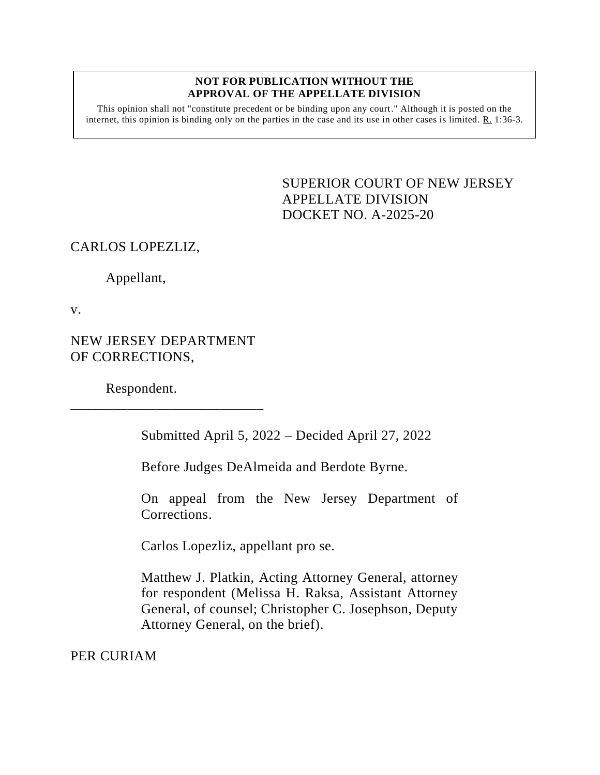## **NOT FOR PUBLICATION WITHOUT THE APPROVAL OF THE APPELLATE DIVISION**

This opinion shall not "constitute precedent or be binding upon any court." Although it is posted on the internet, this opinion is binding only on the parties in the case and its use in other cases is limited.  $R_1$  1:36-3.

> <span id="page-0-0"></span>SUPERIOR COURT OF NEW JERSEY APPELLATE DIVISION DOCKET NO. A-2025-20

## CARLOS LOPEZLIZ,

Appellant,

v.

NEW JERSEY DEPARTMENT OF CORRECTIONS,

\_\_\_\_\_\_\_\_\_\_\_\_\_\_\_\_\_\_\_\_\_\_\_\_\_\_\_

Respondent.

Submitted April 5, 2022 – Decided April 27, 2022

Before Judges DeAlmeida and Berdote Byrne.

On appeal from the New Jersey Department of Corrections.

Carlos Lopezliz, appellant pro se.

Matthew J. Platkin, Acting Attorney General, attorney for respondent (Melissa H. Raksa, Assistant Attorney General, of counsel; Christopher C. Josephson, Deputy Attorney General, on the brief).

PER CURIAM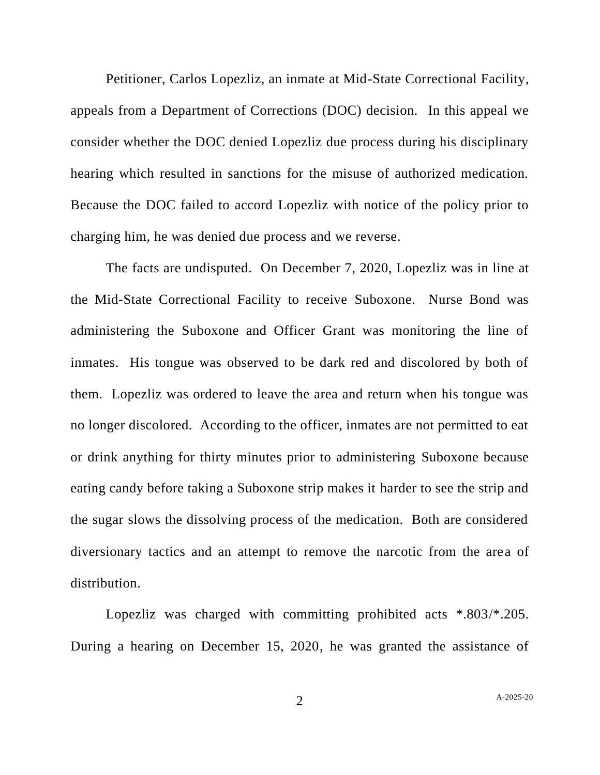Petitioner, Carlos Lopezliz, an inmate at Mid-State Correctional Facility, appeals from a Department of Corrections (DOC) decision. In this appeal we consider whether the DOC denied Lopezliz due process during his disciplinary hearing which resulted in sanctions for the misuse of authorized medication. Because the DOC failed to accord Lopezliz with notice of the policy prior to charging him, he was denied due process and we reverse.

The facts are undisputed. On December 7, 2020, Lopezliz was in line at the Mid-State Correctional Facility to receive Suboxone. Nurse Bond was administering the Suboxone and Officer Grant was monitoring the line of inmates. His tongue was observed to be dark red and discolored by both of them. Lopezliz was ordered to leave the area and return when his tongue was no longer discolored. According to the officer, inmates are not permitted to eat or drink anything for thirty minutes prior to administering Suboxone because eating candy before taking a Suboxone strip makes it harder to see the strip and the sugar slows the dissolving process of the medication. Both are considered diversionary tactics and an attempt to remove the narcotic from the area of distribution.

Lopezliz was charged with committing prohibited acts \*.803/\*.205. During a hearing on December 15, 2020, he was granted the assistance of

2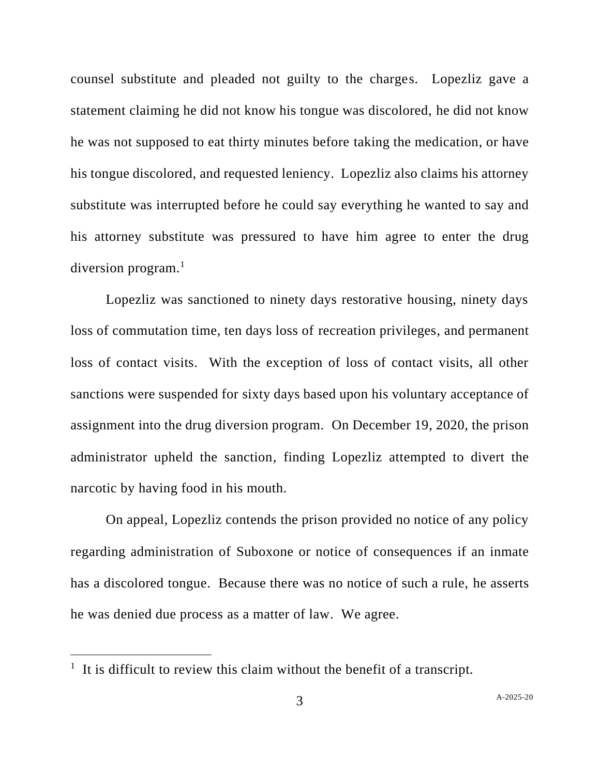counsel substitute and pleaded not guilty to the charges. Lopezliz gave a statement claiming he did not know his tongue was discolored, he did not know he was not supposed to eat thirty minutes before taking the medication, or have his tongue discolored, and requested leniency. Lopezliz also claims his attorney substitute was interrupted before he could say everything he wanted to say and his attorney substitute was pressured to have him agree to enter the drug diversion program.<sup>1</sup>

Lopezliz was sanctioned to ninety days restorative housing, ninety days loss of commutation time, ten days loss of recreation privileges, and permanent loss of contact visits. With the exception of loss of contact visits, all other sanctions were suspended for sixty days based upon his voluntary acceptance of assignment into the drug diversion program. On December 19, 2020, the prison administrator upheld the sanction, finding Lopezliz attempted to divert the narcotic by having food in his mouth.

On appeal, Lopezliz contends the prison provided no notice of any policy regarding administration of Suboxone or notice of consequences if an inmate has a discolored tongue. Because there was no notice of such a rule, he asserts he was denied due process as a matter of law. We agree.

 $<sup>1</sup>$  It is difficult to review this claim without the benefit of a transcript.</sup>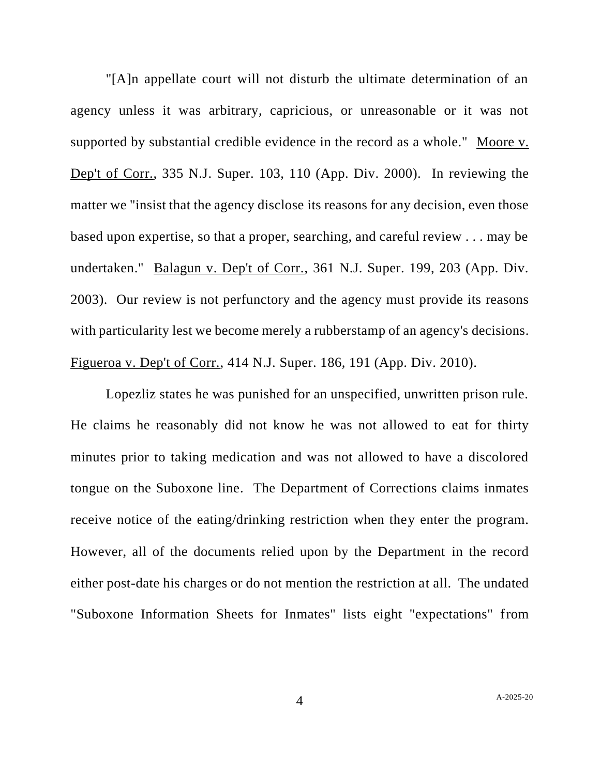"[A]n appellate court will not disturb the ultimate determination of an agency unless it was arbitrary, capricious, or unreasonable or it was not supported by substantial credible evidence in the record as a whole." Moore v. Dep't of Corr., 335 N.J. Super. 103, 110 (App. Div. 2000). In reviewing the matter we "insist that the agency disclose its reasons for any decision, even those based upon expertise, so that a proper, searching, and careful review . . . may be undertaken." Balagun v. Dep't of Corr., 361 N.J. Super. 199, 203 (App. Div. 2003). Our review is not perfunctory and the agency must provide its reasons with particularity lest we become merely a rubberstamp of an agency's decisions. Figueroa v. Dep't of Corr., 414 N.J. Super. 186, 191 (App. Div. 2010).

Lopezliz states he was punished for an unspecified, unwritten prison rule. He claims he reasonably did not know he was not allowed to eat for thirty minutes prior to taking medication and was not allowed to have a discolored tongue on the Suboxone line. The Department of Corrections claims inmates receive notice of the eating/drinking restriction when they enter the program. However, all of the documents relied upon by the Department in the record either post-date his charges or do not mention the restriction at all. The undated "Suboxone Information Sheets for Inmates" lists eight "expectations" from